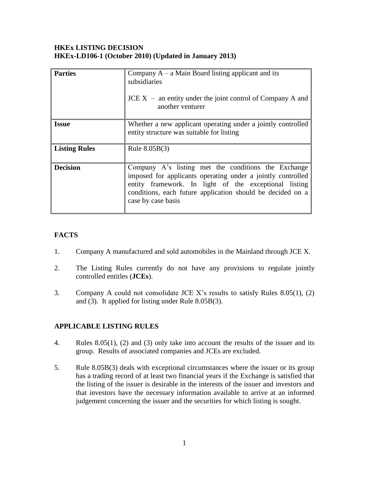#### **HKEx LISTING DECISION HKEx-LD106-1 (October 2010) (Updated in January 2013)**

| <b>Parties</b>       | Company $A - a$ Main Board listing applicant and its<br>subsidiaries<br>$JCE X -$ an entity under the joint control of Company A and<br>another venturer                                                                                                        |
|----------------------|-----------------------------------------------------------------------------------------------------------------------------------------------------------------------------------------------------------------------------------------------------------------|
| <b>Issue</b>         | Whether a new applicant operating under a jointly controlled<br>entity structure was suitable for listing                                                                                                                                                       |
| <b>Listing Rules</b> | Rule $8.05B(3)$                                                                                                                                                                                                                                                 |
| <b>Decision</b>      | Company A's listing met the conditions the Exchange<br>imposed for applicants operating under a jointly controlled<br>entity framework. In light of the exceptional listing<br>conditions, each future application should be decided on a<br>case by case basis |

# **FACTS**

- 1. Company A manufactured and sold automobiles in the Mainland through JCE X.
- 2. The Listing Rules currently do not have any provisions to regulate jointly controlled entitles (**JCEs**).
- 3. Company A could not consolidate JCE X's results to satisfy Rules 8.05(1), (2) and (3). It applied for listing under Rule 8.05B(3).

## **APPLICABLE LISTING RULES**

- 4. Rules 8.05(1), (2) and (3) only take into account the results of the issuer and its group. Results of associated companies and JCEs are excluded.
- 5. Rule 8.05B(3) deals with exceptional circumstances where the issuer or its group has a trading record of at least two financial years if the Exchange is satisfied that the listing of the issuer is desirable in the interests of the issuer and investors and that investors have the necessary information available to arrive at an informed judgement concerning the issuer and the securities for which listing is sought.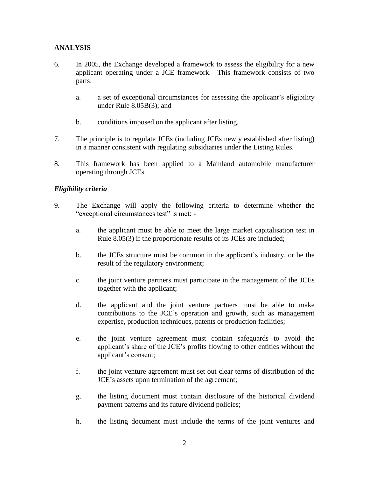## **ANALYSIS**

- 6. In 2005, the Exchange developed a framework to assess the eligibility for a new applicant operating under a JCE framework. This framework consists of two parts:
	- a. a set of exceptional circumstances for assessing the applicant's eligibility under Rule 8.05B(3); and
	- b. conditions imposed on the applicant after listing.
- 7. The principle is to regulate JCEs (including JCEs newly established after listing) in a manner consistent with regulating subsidiaries under the Listing Rules.
- 8. This framework has been applied to a Mainland automobile manufacturer operating through JCEs.

## *Eligibility criteria*

- 9. The Exchange will apply the following criteria to determine whether the "exceptional circumstances test" is met:
	- a. the applicant must be able to meet the large market capitalisation test in Rule 8.05(3) if the proportionate results of its JCEs are included;
	- b. the JCEs structure must be common in the applicant's industry, or be the result of the regulatory environment;
	- c. the joint venture partners must participate in the management of the JCEs together with the applicant;
	- d. the applicant and the joint venture partners must be able to make contributions to the JCE's operation and growth, such as management expertise, production techniques, patents or production facilities;
	- e. the joint venture agreement must contain safeguards to avoid the applicant's share of the JCE's profits flowing to other entities without the applicant's consent;
	- f. the joint venture agreement must set out clear terms of distribution of the JCE's assets upon termination of the agreement;
	- g. the listing document must contain disclosure of the historical dividend payment patterns and its future dividend policies;
	- h. the listing document must include the terms of the joint ventures and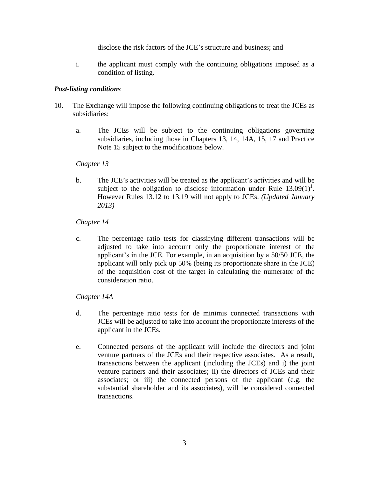disclose the risk factors of the JCE's structure and business; and

i. the applicant must comply with the continuing obligations imposed as a condition of listing.

#### *Post-listing conditions*

- 10. The Exchange will impose the following continuing obligations to treat the JCEs as subsidiaries:
	- a. The JCEs will be subject to the continuing obligations governing subsidiaries, including those in Chapters 13, 14, 14A, 15, 17 and Practice Note 15 subject to the modifications below.

#### *Chapter 13*

b. The JCE's activities will be treated as the applicant's activities and will be subject to the obligation to disclose information under Rule  $13.09(1)^1$ . However Rules 13.12 to 13.19 will not apply to JCEs. *(Updated January 2013)*

### *Chapter 14*

c. The percentage ratio tests for classifying different transactions will be adjusted to take into account only the proportionate interest of the applicant's in the JCE. For example, in an acquisition by a 50/50 JCE, the applicant will only pick up 50% (being its proportionate share in the JCE) of the acquisition cost of the target in calculating the numerator of the consideration ratio.

#### *Chapter 14A*

- d. The percentage ratio tests for de minimis connected transactions with JCEs will be adjusted to take into account the proportionate interests of the applicant in the JCEs.
- e. Connected persons of the applicant will include the directors and joint venture partners of the JCEs and their respective associates. As a result, transactions between the applicant (including the JCEs) and i) the joint venture partners and their associates; ii) the directors of JCEs and their associates; or iii) the connected persons of the applicant (e.g. the substantial shareholder and its associates), will be considered connected transactions.